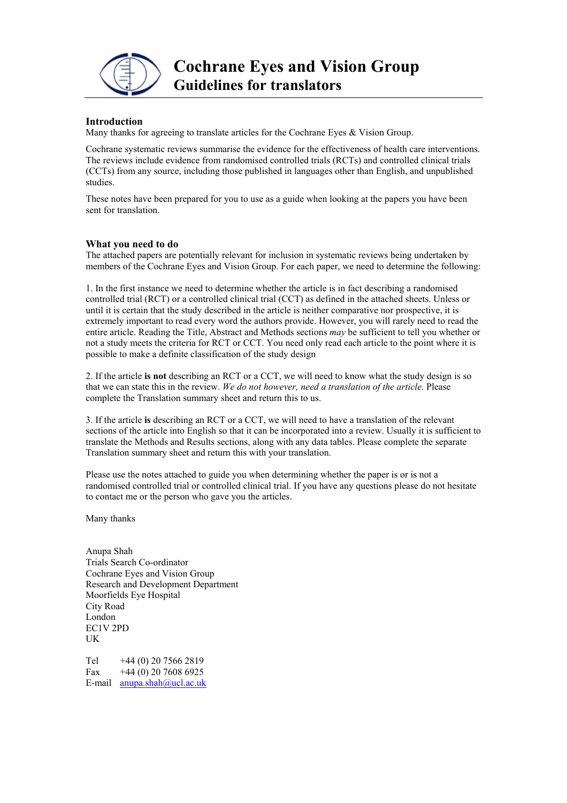

## **Introduction**

Many thanks for agreeing to translate articles for the Cochrane Eyes & Vision Group.

Cochrane systematic reviews summarise the evidence for the effectiveness of health care interventions. The reviews include evidence from randomised controlled trials (RCTs) and controlled clinical trials (CCTs) from any source, including those published in languages other than English, and unpublished studies.

These notes have been prepared for you to use as a guide when looking at the papers you have been sent for translation.

### **What you need to do**

The attached papers are potentially relevant for inclusion in systematic reviews being undertaken by members of the Cochrane Eyes and Vision Group. For each paper, we need to determine the following:

1. In the first instance we need to determine whether the article is in fact describing a randomised controlled trial (RCT) or a controlled clinical trial (CCT) as defined in the attached sheets. Unless or until it is certain that the study described in the article is neither comparative nor prospective, it is extremely important to read every word the authors provide. However, you will rarely need to read the entire article. Reading the Title, Abstract and Methods sections *may* be sufficient to tell you whether or not a study meets the criteria for RCT or CCT. You need only read each article to the point where it is possible to make a definite classification of the study design

2. If the article **is not** describing an RCT or a CCT, we will need to know what the study design is so that we can state this in the review. *We do not however, need a translation of the article*. Please complete the Translation summary sheet and return this to us.

3. If the article **is** describing an RCT or a CCT, we will need to have a translation of the relevant sections of the article into English so that it can be incorporated into a review. Usually it is sufficient to translate the Methods and Results sections, along with any data tables. Please complete the separate Translation summary sheet and return this with your translation.

Please use the notes attached to guide you when determining whether the paper is or is not a randomised controlled trial or controlled clinical trial. If you have any questions please do not hesitate to contact me or the person who gave you the articles.

Many thanks

Anupa Shah Trials Search Co-ordinator Cochrane Eyes and Vision Group Research and Development Department Moorfields Eye Hospital City Road London EC1V 2PD UK

Tel  $+44(0)$  20 7566 2819 Fax  $+44(0)$  20 7608 6925 E-mail [anupa.shah@ucl.ac.uk](mailto:cevg@ucl.ac.uk)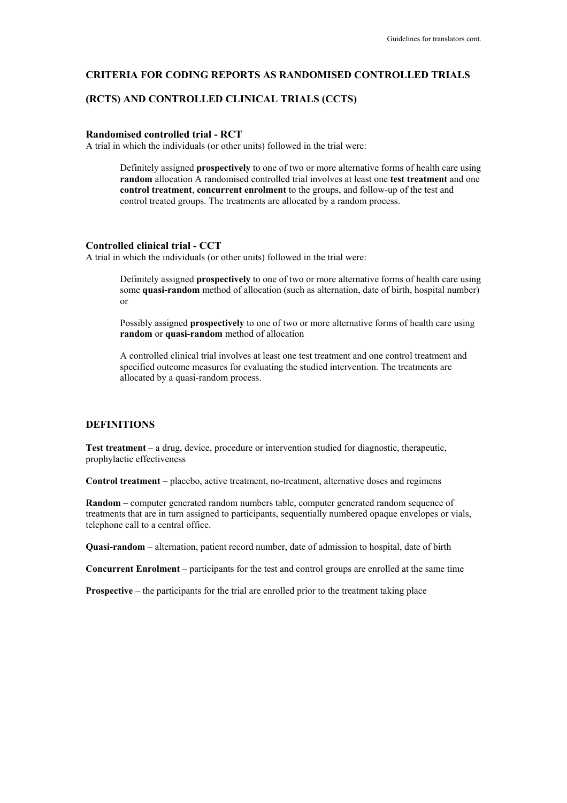## **CRITERIA FOR CODING REPORTS AS RANDOMISED CONTROLLED TRIALS**

# **(RCTS) AND CONTROLLED CLINICAL TRIALS (CCTS)**

#### **Randomised controlled trial - RCT**

A trial in which the individuals (or other units) followed in the trial were:

Definitely assigned **prospectively** to one of two or more alternative forms of health care using **random** allocation A randomised controlled trial involves at least one **test treatment** and one **control treatment**, **concurrent enrolment** to the groups, and follow-up of the test and control treated groups. The treatments are allocated by a random process.

#### **Controlled clinical trial - CCT**

A trial in which the individuals (or other units) followed in the trial were:

Definitely assigned **prospectively** to one of two or more alternative forms of health care using some **quasi-random** method of allocation (such as alternation, date of birth, hospital number) or

Possibly assigned **prospectively** to one of two or more alternative forms of health care using **random** or **quasi-random** method of allocation

A controlled clinical trial involves at least one test treatment and one control treatment and specified outcome measures for evaluating the studied intervention. The treatments are allocated by a quasi-random process.

# **DEFINITIONS**

**Test treatment** – a drug, device, procedure or intervention studied for diagnostic, therapeutic, prophylactic effectiveness

**Control treatment** – placebo, active treatment, no-treatment, alternative doses and regimens

**Random** – computer generated random numbers table, computer generated random sequence of treatments that are in turn assigned to participants, sequentially numbered opaque envelopes or vials, telephone call to a central office.

**Quasi-random** – alternation, patient record number, date of admission to hospital, date of birth

**Concurrent Enrolment** – participants for the test and control groups are enrolled at the same time

**Prospective** – the participants for the trial are enrolled prior to the treatment taking place